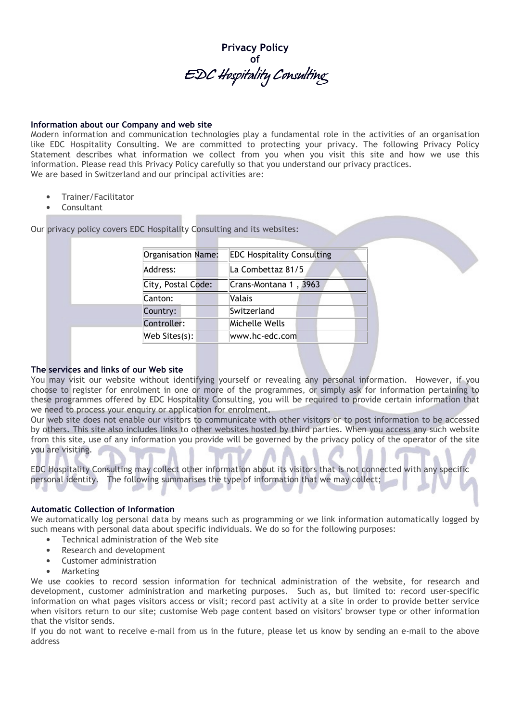

## Information about our Company and web site

Modern information and communication technologies play a fundamental role in the activities of an organisation like EDC Hospitality Consulting. We are committed to protecting your privacy. The following Privacy Policy Statement describes what information we collect from you when you visit this site and how we use this information. Please read this Privacy Policy carefully so that you understand our privacy practices. We are based in Switzerland and our principal activities are:

- Trainer/Facilitator
- Consultant

Our privacy policy covers EDC Hospitality Consulting and its websites:

|  | Organisation Name: | <b>EDC Hospitality Consulting</b> |  |  |
|--|--------------------|-----------------------------------|--|--|
|  | Address:           | La Combettaz 81/5                 |  |  |
|  | City, Postal Code: | Crans-Montana 1, 3963             |  |  |
|  | Canton:            | Valais                            |  |  |
|  | Country:           | Switzerland                       |  |  |
|  | Controller:        | Michelle Wells                    |  |  |
|  | Web Sites(s):      | www.hc-edc.com                    |  |  |
|  |                    |                                   |  |  |

#### The services and links of our Web site

You may visit our website without identifying yourself or revealing any personal information. However, if you choose to register for enrolment in one or more of the programmes, or simply ask for information pertaining to these programmes offered by EDC Hospitality Consulting, you will be required to provide certain information that we need to process your enquiry or application for enrolment.

Our web site does not enable our visitors to communicate with other visitors or to post information to be accessed by others. This site also includes links to other websites hosted by third parties. When you access any such website from this site, use of any information you provide will be governed by the privacy policy of the operator of the site you are visiting.

EDC Hospitality Consulting may collect other information about its visitors that is not connected with any specific personal identity. The following summarises the type of information that we may collect;

#### Automatic Collection of Information

We automatically log personal data by means such as programming or we link information automatically logged by such means with personal data about specific individuals. We do so for the following purposes:

- Technical administration of the Web site
- Research and development
- Customer administration
- Marketing

We use cookies to record session information for technical administration of the website, for research and development, customer administration and marketing purposes. Such as, but limited to: record user-specific information on what pages visitors access or visit; record past activity at a site in order to provide better service when visitors return to our site; customise Web page content based on visitors' browser type or other information that the visitor sends.

If you do not want to receive e-mail from us in the future, please let us know by sending an e-mail to the above address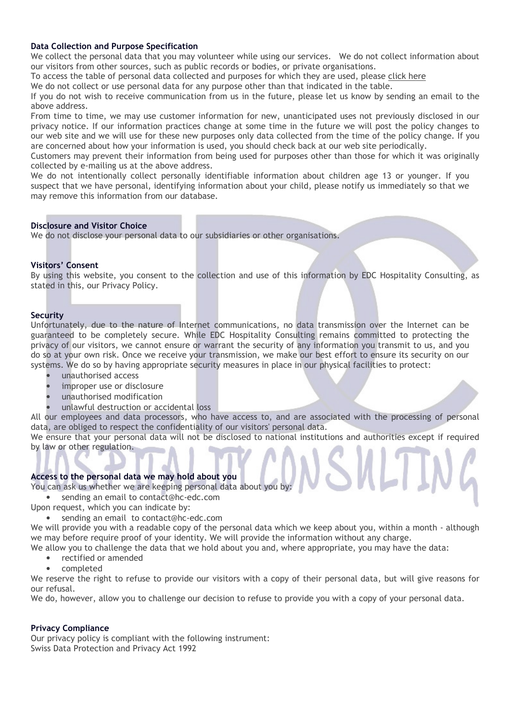## Data Collection and Purpose Specification

We collect the personal data that you may volunteer while using our services. We do not collect information about our visitors from other sources, such as public records or bodies, or private organisations.

To access the table of personal data collected and purposes for which they are used, please click here

We do not collect or use personal data for any purpose other than that indicated in the table.

If you do not wish to receive communication from us in the future, please let us know by sending an email to the above address.

From time to time, we may use customer information for new, unanticipated uses not previously disclosed in our privacy notice. If our information practices change at some time in the future we will post the policy changes to our web site and we will use for these new purposes only data collected from the time of the policy change. If you are concerned about how your information is used, you should check back at our web site periodically.

Customers may prevent their information from being used for purposes other than those for which it was originally collected by e-mailing us at the above address.

We do not intentionally collect personally identifiable information about children age 13 or younger. If you suspect that we have personal, identifying information about your child, please notify us immediately so that we may remove this information from our database.

#### Disclosure and Visitor Choice

We do not disclose your personal data to our subsidiaries or other organisations.

## Visitors' Consent

By using this website, you consent to the collection and use of this information by EDC Hospitality Consulting, as stated in this, our Privacy Policy.

## **Security**

Unfortunately, due to the nature of Internet communications, no data transmission over the Internet can be guaranteed to be completely secure. While EDC Hospitality Consulting remains committed to protecting the privacy of our visitors, we cannot ensure or warrant the security of any information you transmit to us, and you do so at your own risk. Once we receive your transmission, we make our best effort to ensure its security on our systems. We do so by having appropriate security measures in place in our physical facilities to protect:

- unauthorised access
- improper use or disclosure
- unauthorised modification
- unlawful destruction or accidental loss

All our employees and data processors, who have access to, and are associated with the processing of personal data, are obliged to respect the confidentiality of our visitors' personal data.

We ensure that your personal data will not be disclosed to national institutions and authorities except if required by law or other regulation.

## Access to the personal data we may hold about you

You can ask us whether we are keeping personal data about you by:

- sending an email to contact@hc-edc.com
- Upon request, which you can indicate by:
	- sending an email to contact@hc-edc.com

We will provide you with a readable copy of the personal data which we keep about you, within a month - although we may before require proof of your identity. We will provide the information without any charge.

We allow you to challenge the data that we hold about you and, where appropriate, you may have the data:

- rectified or amended
- completed

We reserve the right to refuse to provide our visitors with a copy of their personal data, but will give reasons for our refusal.

We do, however, allow you to challenge our decision to refuse to provide you with a copy of your personal data.

#### Privacy Compliance

Our privacy policy is compliant with the following instrument: Swiss Data Protection and Privacy Act 1992